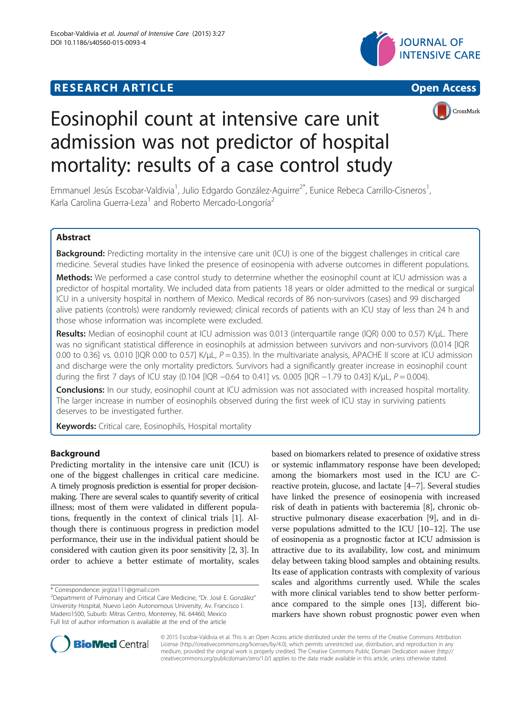# **RESEARCH ARTICLE Example 2014 12:30 The Contract of Contract Contract Contract Contract Contract Contract Contract Contract Contract Contract Contract Contract Contract Contract Contract Contract Contract Contract Contr**







# Eosinophil count at intensive care unit admission was not predictor of hospital mortality: results of a case control study

Emmanuel Jesús Escobar-Valdivia<sup>1</sup>, Julio Edgardo González-Aguirre<sup>2\*</sup>, Eunice Rebeca Carrillo-Cisneros<sup>1</sup> , Karla Carolina Guerra-Leza<sup>1</sup> and Roberto Mercado-Longoría<sup>2</sup>

# Abstract

Background: Predicting mortality in the intensive care unit (ICU) is one of the biggest challenges in critical care medicine. Several studies have linked the presence of eosinopenia with adverse outcomes in different populations.

Methods: We performed a case control study to determine whether the eosinophil count at ICU admission was a predictor of hospital mortality. We included data from patients 18 years or older admitted to the medical or surgical ICU in a university hospital in northern of Mexico. Medical records of 86 non-survivors (cases) and 99 discharged alive patients (controls) were randomly reviewed; clinical records of patients with an ICU stay of less than 24 h and those whose information was incomplete were excluded.

Results: Median of eosinophil count at ICU admission was 0.013 (interquartile range (IQR) 0.00 to 0.57) K/µL. There was no significant statistical difference in eosinophils at admission between survivors and non-survivors (0.014 [IQR 0.00 to 0.36] vs. 0.010 [IQR 0.00 to 0.57] K/µL,  $P = 0.35$ ). In the multivariate analysis, APACHE II score at ICU admission and discharge were the only mortality predictors. Survivors had a significantly greater increase in eosinophil count during the first 7 days of ICU stay (0.104 [IQR −0.64 to 0.41] vs. 0.005 [IQR −1.79 to 0.43] K/µL, P = 0.004).

**Conclusions:** In our study, eosinophil count at ICU admission was not associated with increased hospital mortality. The larger increase in number of eosinophils observed during the first week of ICU stay in surviving patients deserves to be investigated further.

Keywords: Critical care, Eosinophils, Hospital mortality

# Background

Predicting mortality in the intensive care unit (ICU) is one of the biggest challenges in critical care medicine. A timely prognosis prediction is essential for proper decisionmaking. There are several scales to quantify severity of critical illness; most of them were validated in different populations, frequently in the context of clinical trials [\[1](#page-4-0)]. Although there is continuous progress in prediction model performance, their use in the individual patient should be considered with caution given its poor sensitivity [\[2](#page-4-0), [3\]](#page-4-0). In order to achieve a better estimate of mortality, scales

based on biomarkers related to presence of oxidative stress or systemic inflammatory response have been developed; among the biomarkers most used in the ICU are Creactive protein, glucose, and lactate [\[4](#page-4-0)–[7\]](#page-4-0). Several studies have linked the presence of eosinopenia with increased risk of death in patients with bacteremia [[8](#page-4-0)], chronic obstructive pulmonary disease exacerbation [[9\]](#page-4-0), and in diverse populations admitted to the ICU [\[10](#page-4-0)–[12\]](#page-4-0). The use of eosinopenia as a prognostic factor at ICU admission is attractive due to its availability, low cost, and minimum delay between taking blood samples and obtaining results. Its ease of application contrasts with complexity of various scales and algorithms currently used. While the scales with more clinical variables tend to show better performance compared to the simple ones [\[13\]](#page-4-0), different biomarkers have shown robust prognostic power even when



© 2015 Escobar-Valdivia et al. This is an Open Access article distributed under the terms of the Creative Commons Attribution License (<http://creativecommons.org/licenses/by/4.0>), which permits unrestricted use, distribution, and reproduction in any medium, provided the original work is properly credited. The Creative Commons Public Domain Dedication waiver [\(http://](http://creativecommons.org/publicdomain/zero/1.0/) [creativecommons.org/publicdomain/zero/1.0/\)](http://creativecommons.org/publicdomain/zero/1.0/) applies to the data made available in this article, unless otherwise stated.

<sup>\*</sup> Correspondence: [jeglza111@gmail.com](mailto:jeglza111@gmail.com) <sup>2</sup>

Department of Pulmonary and Critical Care Medicine, "Dr. José E. González" University Hospital, Nuevo León Autonomous University, Av. Francisco I. Madero1500, Suburb: Mitras Centro, Monterrey, NL 64460, Mexico Full list of author information is available at the end of the article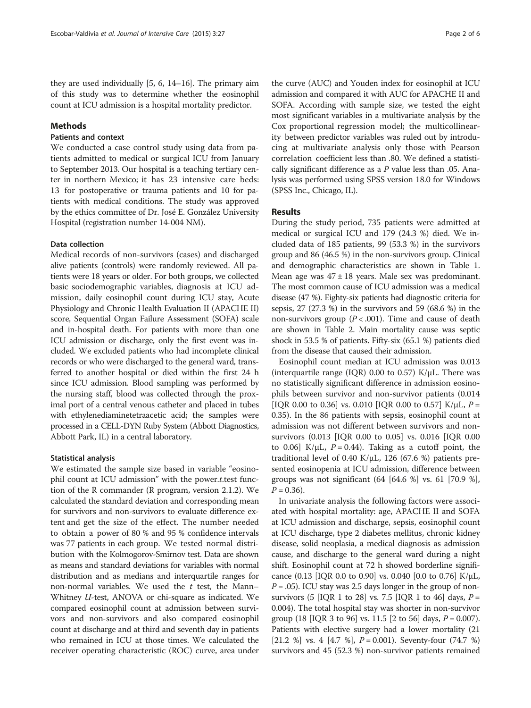they are used individually [\[5](#page-4-0), [6](#page-4-0), [14](#page-4-0)–[16\]](#page-4-0). The primary aim of this study was to determine whether the eosinophil count at ICU admission is a hospital mortality predictor.

# Methods

## Patients and context

We conducted a case control study using data from patients admitted to medical or surgical ICU from January to September 2013. Our hospital is a teaching tertiary center in northern Mexico; it has 23 intensive care beds: 13 for postoperative or trauma patients and 10 for patients with medical conditions. The study was approved by the ethics committee of Dr. José E. González University Hospital (registration number 14-004 NM).

#### Data collection

Medical records of non-survivors (cases) and discharged alive patients (controls) were randomly reviewed. All patients were 18 years or older. For both groups, we collected basic sociodemographic variables, diagnosis at ICU admission, daily eosinophil count during ICU stay, Acute Physiology and Chronic Health Evaluation II (APACHE II) score, Sequential Organ Failure Assessment (SOFA) scale and in-hospital death. For patients with more than one ICU admission or discharge, only the first event was included. We excluded patients who had incomplete clinical records or who were discharged to the general ward, transferred to another hospital or died within the first 24 h since ICU admission. Blood sampling was performed by the nursing staff, blood was collected through the proximal port of a central venous catheter and placed in tubes with ethylenediaminetetraacetic acid; the samples were processed in a CELL-DYN Ruby System (Abbott Diagnostics, Abbott Park, IL) in a central laboratory.

## Statistical analysis

We estimated the sample size based in variable "eosinophil count at ICU admission" with the power.t.test function of the R commander (R program, version 2.1.2). We calculated the standard deviation and corresponding mean for survivors and non-survivors to evaluate difference extent and get the size of the effect. The number needed to obtain a power of 80 % and 95 % confidence intervals was 77 patients in each group. We tested normal distribution with the Kolmogorov-Smirnov test. Data are shown as means and standard deviations for variables with normal distribution and as medians and interquartile ranges for non-normal variables. We used the  $t$  test, the Mann– Whitney U-test, ANOVA or chi-square as indicated. We compared eosinophil count at admission between survivors and non-survivors and also compared eosinophil count at discharge and at third and seventh day in patients who remained in ICU at those times. We calculated the receiver operating characteristic (ROC) curve, area under

the curve (AUC) and Youden index for eosinophil at ICU admission and compared it with AUC for APACHE II and SOFA. According with sample size, we tested the eight most significant variables in a multivariate analysis by the Cox proportional regression model; the multicollinearity between predictor variables was ruled out by introducing at multivariate analysis only those with Pearson correlation coefficient less than .80. We defined a statistically significant difference as a  $P$  value less than .05. Analysis was performed using SPSS version 18.0 for Windows (SPSS Inc., Chicago, IL).

#### Results

During the study period, 735 patients were admitted at medical or surgical ICU and 179 (24.3 %) died. We included data of 185 patients, 99 (53.3 %) in the survivors group and 86 (46.5 %) in the non-survivors group. Clinical and demographic characteristics are shown in Table [1](#page-2-0). Mean age was  $47 \pm 18$  years. Male sex was predominant. The most common cause of ICU admission was a medical disease (47 %). Eighty-six patients had diagnostic criteria for sepsis, 27 (27.3 %) in the survivors and 59 (68.6 %) in the non-survivors group ( $P < .001$ ). Time and cause of death are shown in Table [2.](#page-2-0) Main mortality cause was septic shock in 53.5 % of patients. Fifty-six (65.1 %) patients died from the disease that caused their admission.

Eosinophil count median at ICU admission was 0.013 (interquartile range (IQR) 0.00 to 0.57)  $K/\mu$ L. There was no statistically significant difference in admission eosinophils between survivor and non-survivor patients (0.014 [IQR 0.00 to 0.36] vs. 0.010 [IQR 0.00 to 0.57] K/ $\mu$ L, P = 0.35). In the 86 patients with sepsis, eosinophil count at admission was not different between survivors and nonsurvivors (0.013 [IQR 0.00 to 0.05] vs. 0.016 [IQR 0.00 to 0.06] K/ $\mu$ L, P = 0.44). Taking as a cutoff point, the traditional level of 0.40 K/ $\mu$ L, 126 (67.6 %) patients presented eosinopenia at ICU admission, difference between groups was not significant (64 [64.6 %] vs. 61 [70.9 %],  $P = 0.36$ .

In univariate analysis the following factors were associated with hospital mortality: age, APACHE II and SOFA at ICU admission and discharge, sepsis, eosinophil count at ICU discharge, type 2 diabetes mellitus, chronic kidney disease, solid neoplasia, a medical diagnosis as admission cause, and discharge to the general ward during a night shift. Eosinophil count at 72 h showed borderline significance (0.13 [IQR 0.0 to 0.90] vs. 0.040 [0.0 to 0.76] K/μL,  $P = .05$ ). ICU stay was 2.5 days longer in the group of nonsurvivors (5 [IQR 1 to 28] vs. 7.5 [IQR 1 to 46] days,  $P =$ 0.004). The total hospital stay was shorter in non-survivor group (18 [IQR 3 to 96] vs. 11.5 [2 to 56] days,  $P = 0.007$ ). Patients with elective surgery had a lower mortality (21 [21.2 %] vs. 4 [4.7 %],  $P = 0.001$ ). Seventy-four (74.7 %) survivors and 45 (52.3 %) non-survivor patients remained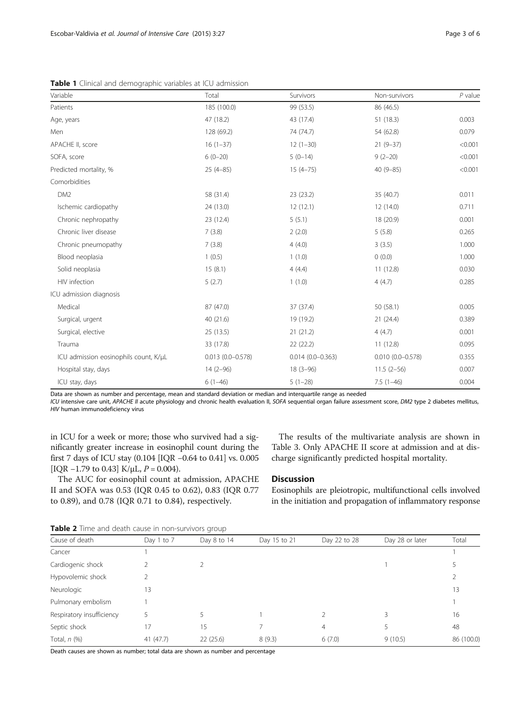<span id="page-2-0"></span>**Table 1** Clinical and demographic variables at ICU admission

| Variable                              | Total                | Survivors            | Non-survivors        | $P$ value |
|---------------------------------------|----------------------|----------------------|----------------------|-----------|
| Patients                              | 185 (100.0)          | 99 (53.5)            | 86 (46.5)            |           |
| Age, years                            | 47 (18.2)            | 43 (17.4)            | 51 (18.3)            | 0.003     |
| Men                                   | 128 (69.2)           | 74 (74.7)            | 54 (62.8)            | 0.079     |
| APACHE II, score                      | $16(1-37)$           | $12(1-30)$           | $21(9-37)$           | < 0.001   |
| SOFA, score                           | $6(0-20)$            | $5(0-14)$            | $9(2-20)$            | < 0.001   |
| Predicted mortality, %                | $25(4-85)$           | $15(4 - 75)$         | $40(9 - 85)$         | < 0.001   |
| Comorbidities                         |                      |                      |                      |           |
| DM <sub>2</sub>                       | 58 (31.4)            | 23 (23.2)            | 35 (40.7)            | 0.011     |
| Ischemic cardiopathy                  | 24 (13.0)            | 12(12.1)             | 12 (14.0)            | 0.711     |
| Chronic nephropathy                   | 23 (12.4)            | 5(5.1)               | 18 (20.9)            | 0.001     |
| Chronic liver disease                 | 7(3.8)               | 2(2.0)               | 5(5.8)               | 0.265     |
| Chronic pneumopathy                   | 7(3.8)               | 4(4.0)               | 3(3.5)               | 1.000     |
| Blood neoplasia                       | 1(0.5)               | 1(1.0)               | 0(0.0)               | 1.000     |
| Solid neoplasia                       | 15(8.1)              | 4(4.4)               | 11(12.8)             | 0.030     |
| HIV infection                         | 5(2.7)               | 1(1.0)               | 4(4.7)               | 0.285     |
| ICU admission diagnosis               |                      |                      |                      |           |
| Medical                               | 87 (47.0)            | 37 (37.4)            | 50 (58.1)            | 0.005     |
| Surgical, urgent                      | 40 (21.6)            | 19 (19.2)            | 21 (24.4)            | 0.389     |
| Surgical, elective                    | 25(13.5)             | 21(21.2)             | 4(4.7)               | 0.001     |
| Trauma                                | 33 (17.8)            | 22(22.2)             | 11(12.8)             | 0.095     |
| ICU admission eosinophils count, K/µL | $0.013(0.0 - 0.578)$ | $0.014(0.0 - 0.363)$ | $0.010(0.0 - 0.578)$ | 0.355     |
| Hospital stay, days                   | $14(2-96)$           | $18(3-96)$           | $11.5(2-56)$         | 0.007     |
| ICU stay, days                        | $6(1-46)$            | $5(1-28)$            | $7.5(1-46)$          | 0.004     |

Data are shown as number and percentage, mean and standard deviation or median and interquartile range as needed

ICU intensive care unit, APACHE II acute physiology and chronic health evaluation II, SOFA sequential organ failure assessment score, DM2 type 2 diabetes mellitus, HIV human immunodeficiency virus

in ICU for a week or more; those who survived had a significantly greater increase in eosinophil count during the first 7 days of ICU stay (0.104 [IQR −0.64 to 0.41] vs. 0.005 [IQR  $-1.79$  to 0.43] K/µL,  $P = 0.004$ ).

The AUC for eosinophil count at admission, APACHE II and SOFA was 0.53 (IQR 0.45 to 0.62), 0.83 (IQR 0.77 to 0.89), and 0.78 (IQR 0.71 to 0.84), respectively.

The results of the multivariate analysis are shown in Table [3.](#page-3-0) Only APACHE II score at admission and at discharge significantly predicted hospital mortality.

# **Discussion**

Eosinophils are pleiotropic, multifunctional cells involved in the initiation and propagation of inflammatory response

Table 2 Time and death cause in non-survivors group

| <b>TADIC 2</b> TIME AND USALE CAUSE IN HUITSUIVIVOIS GIUDD |            |             |              |              |                 |            |  |  |  |
|------------------------------------------------------------|------------|-------------|--------------|--------------|-----------------|------------|--|--|--|
| Cause of death                                             | Day 1 to 7 | Day 8 to 14 | Day 15 to 21 | Day 22 to 28 | Day 28 or later | Total      |  |  |  |
| Cancer                                                     |            |             |              |              |                 |            |  |  |  |
| Cardiogenic shock                                          |            | 2           |              |              |                 |            |  |  |  |
| Hypovolemic shock                                          |            |             |              |              |                 | ∠          |  |  |  |
| Neurologic                                                 | 13         |             |              |              |                 | 13         |  |  |  |
| Pulmonary embolism                                         |            |             |              |              |                 |            |  |  |  |
| Respiratory insufficiency                                  |            |             |              |              | 3               | 16         |  |  |  |
| Septic shock                                               | 17         | 15          |              | 4            |                 | 48         |  |  |  |
| Total, $n$ $(\%)$                                          | 41(47.7)   | 22(25.6)    | 8(9.3)       | 6(7.0)       | 9(10.5)         | 86 (100.0) |  |  |  |
|                                                            |            |             |              |              |                 |            |  |  |  |

Death causes are shown as number; total data are shown as number and percentage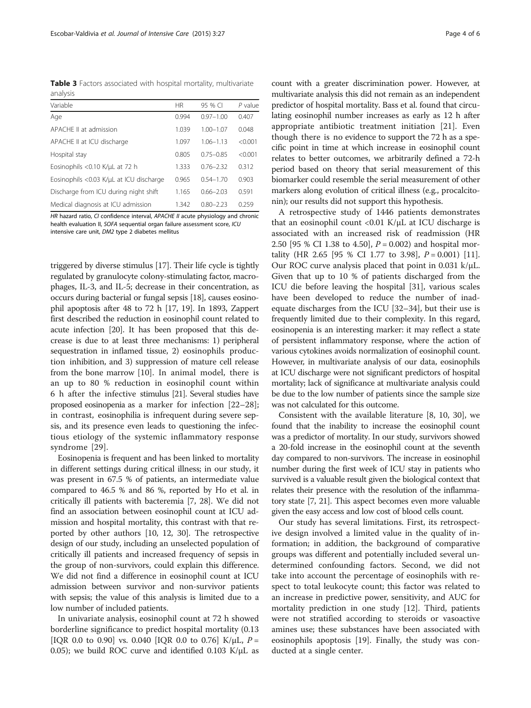<span id="page-3-0"></span>Table 3 Factors associated with hospital mortality, multivariate analysis

| Variable                                | HR    | 95 % CI       | $P$ value |
|-----------------------------------------|-------|---------------|-----------|
| Age                                     | 0.994 | $0.97 - 1.00$ | 0.407     |
| APACHE II at admission                  | 1.039 | $1.00 - 1.07$ | 0.048     |
| APACHE II at ICU discharge              | 1.097 | $106 - 113$   | < 0.001   |
| Hospital stay                           | 0.805 | $0.75 - 0.85$ | < 0.001   |
| Eosinophils <0.10 K/uL at 72 h          | 1.333 | $0.76 - 2.32$ | 0.312     |
| Eosinophils <0.03 K/µL at ICU discharge | 0.965 | $0.54 - 1.70$ | 0.903     |
| Discharge from ICU during night shift   | 1.165 | $0.66 - 2.03$ | 0.591     |
| Medical diagnosis at ICU admission      | 1.342 | $0.80 - 2.23$ | 0.259     |

HR hazard ratio, CI confidence interval, APACHE II acute physiology and chronic health evaluation II, SOFA sequential organ failure assessment score, ICU intensive care unit, DM2 type 2 diabetes mellitus

triggered by diverse stimulus [\[17\]](#page-4-0). Their life cycle is tightly regulated by granulocyte colony-stimulating factor, macrophages, IL-3, and IL-5; decrease in their concentration, as occurs during bacterial or fungal sepsis [\[18\]](#page-4-0), causes eosinophil apoptosis after 48 to 72 h [\[17, 19](#page-4-0)]. In 1893, Zappert first described the reduction in eosinophil count related to acute infection [\[20\]](#page-4-0). It has been proposed that this decrease is due to at least three mechanisms: 1) peripheral sequestration in inflamed tissue, 2) eosinophils production inhibition, and 3) suppression of mature cell release from the bone marrow [[10\]](#page-4-0). In animal model, there is an up to 80 % reduction in eosinophil count within 6 h after the infective stimulus [\[21](#page-4-0)]. Several studies have proposed eosinopenia as a marker for infection [\[22](#page-4-0)–[28](#page-4-0)]; in contrast, eosinophilia is infrequent during severe sepsis, and its presence even leads to questioning the infectious etiology of the systemic inflammatory response syndrome [[29\]](#page-4-0).

Eosinopenia is frequent and has been linked to mortality in different settings during critical illness; in our study, it was present in 67.5 % of patients, an intermediate value compared to 46.5 % and 86 %, reported by Ho et al. in critically ill patients with bacteremia [\[7, 28](#page-4-0)]. We did not find an association between eosinophil count at ICU admission and hospital mortality, this contrast with that reported by other authors [[10, 12,](#page-4-0) [30](#page-5-0)]. The retrospective design of our study, including an unselected population of critically ill patients and increased frequency of sepsis in the group of non-survivors, could explain this difference. We did not find a difference in eosinophil count at ICU admission between survivor and non-survivor patients with sepsis; the value of this analysis is limited due to a low number of included patients.

In univariate analysis, eosinophil count at 72 h showed borderline significance to predict hospital mortality (0.13 [IQR 0.0 to 0.90] vs. 0.040 [IQR 0.0 to 0.76] K/ $\mu$ L, P = 0.05); we build ROC curve and identified 0.103 K/ $\mu$ L as

count with a greater discrimination power. However, at multivariate analysis this did not remain as an independent predictor of hospital mortality. Bass et al. found that circulating eosinophil number increases as early as 12 h after appropriate antibiotic treatment initiation [\[21](#page-4-0)]. Even though there is no evidence to support the 72 h as a specific point in time at which increase in eosinophil count relates to better outcomes, we arbitrarily defined a 72-h period based on theory that serial measurement of this biomarker could resemble the serial measurement of other markers along evolution of critical illness (e.g., procalcitonin); our results did not support this hypothesis.

A retrospective study of 1446 patients demonstrates that an eosinophil count  $\langle 0.01 \text{ K/}\mu\text{L}$  at ICU discharge is associated with an increased risk of readmission (HR 2.50 [95 % CI 1.38 to 4.50],  $P = 0.002$  and hospital mortality (HR 2.65 [95 % CI 1.77 to 3.98],  $P = 0.001$ ) [\[11](#page-4-0)]. Our ROC curve analysis placed that point in 0.031 k/μL. Given that up to 10 % of patients discharged from the ICU die before leaving the hospital [\[31\]](#page-5-0), various scales have been developed to reduce the number of inadequate discharges from the ICU [[32](#page-5-0)–[34](#page-5-0)], but their use is frequently limited due to their complexity. In this regard, eosinopenia is an interesting marker: it may reflect a state of persistent inflammatory response, where the action of various cytokines avoids normalization of eosinophil count. However, in multivariate analysis of our data, eosinophils at ICU discharge were not significant predictors of hospital mortality; lack of significance at multivariate analysis could be due to the low number of patients since the sample size was not calculated for this outcome.

Consistent with the available literature [[8](#page-4-0), [10](#page-4-0), [30](#page-5-0)], we found that the inability to increase the eosinophil count was a predictor of mortality. In our study, survivors showed a 20-fold increase in the eosinophil count at the seventh day compared to non-survivors. The increase in eosinophil number during the first week of ICU stay in patients who survived is a valuable result given the biological context that relates their presence with the resolution of the inflammatory state [\[7, 21](#page-4-0)]. This aspect becomes even more valuable given the easy access and low cost of blood cells count.

Our study has several limitations. First, its retrospective design involved a limited value in the quality of information; in addition, the background of comparative groups was different and potentially included several undetermined confounding factors. Second, we did not take into account the percentage of eosinophils with respect to total leukocyte count; this factor was related to an increase in predictive power, sensitivity, and AUC for mortality prediction in one study [\[12\]](#page-4-0). Third, patients were not stratified according to steroids or vasoactive amines use; these substances have been associated with eosinophils apoptosis [[19\]](#page-4-0). Finally, the study was conducted at a single center.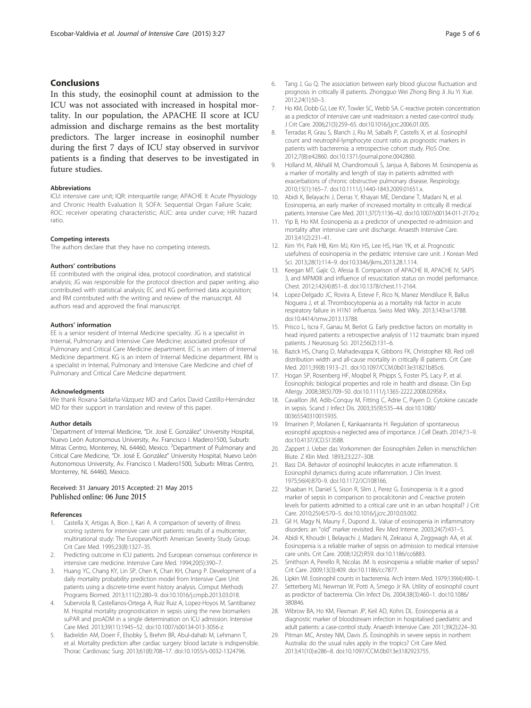## <span id="page-4-0"></span>Conclusions

In this study, the eosinophil count at admission to the ICU was not associated with increased in hospital mortality. In our population, the APACHE II score at ICU admission and discharge remains as the best mortality predictors. The larger increase in eosinophil number during the first 7 days of ICU stay observed in survivor patients is a finding that deserves to be investigated in future studies.

#### Abbreviations

ICU: intensive care unit; IQR: interquartile range; APACHE II: Acute Physiology and Chronic Health Evaluation II; SOFA: Sequential Organ Failure Scale; ROC: receiver operating characteristic; AUC: area under curve; HR: hazard ratio.

#### Competing interests

The authors declare that they have no competing interests.

#### Authors' contributions

EE contributed with the original idea, protocol coordination, and statistical analysis; JG was responsible for the protocol direction and paper writing, also contributed with statistical analysis; EC and KG performed data acquisition; and RM contributed with the writing and review of the manuscript. All authors read and approved the final manuscript.

#### Authors' information

EE is a senior resident of Internal Medicine speciality. JG is a specialist in Internal, Pulmonary and Intensive Care Medicine; associated professor of Pulmonary and Critical Care Medicine department. EC is an intern of Internal Medicine department. KG is an intern of Internal Medicine department. RM is a specialist in Internal, Pulmonary and Intensive Care Medicine and chief of Pulmonary and Critical Care Medicine department.

#### Acknowledgments

We thank Roxana Saldaña-Vázquez MD and Carlos David Castillo-Hernández MD for their support in translation and review of this paper.

#### Author details

<sup>1</sup>Department of Internal Medicine, "Dr. José E. González" University Hospital, Nuevo León Autonomous University, Av. Francisco I. Madero1500, Suburb: Mitras Centro, Monterrey, NL 64460, Mexico. <sup>2</sup>Department of Pulmonary and Critical Care Medicine, "Dr. José E. González" University Hospital, Nuevo León Autonomous University, Av. Francisco I. Madero1500, Suburb: Mitras Centro, Monterrey, NL 64460, Mexico.

#### Received: 31 January 2015 Accepted: 21 May 2015 Published online: 06 June 2015

#### References

- Castella X, Artigas A, Bion J, Kari A. A comparison of severity of illness scoring systems for intensive care unit patients: results of a multicenter, multinational study: The European/North American Severity Study Group. Crit Care Med. 1995;23(8):1327–35.
- 2. Predicting outcome in ICU patients. 2nd European consensus conference in intensive care medicine. Intensive Care Med. 1994;20(5):390–7.
- Huang YC, Chang KY, Lin SP, Chen K, Chan KH, Chang P. Development of a daily mortality probability prediction model from Intensive Care Unit patients using a discrete-time event history analysis. Comput Methods Programs Biomed. 2013;111(2):280–9. doi[:10.1016/j.cmpb.2013.03.018.](http://dx.doi.org/10.1016/j.cmpb.2013.03.018)
- 4. Suberviola B, Castellanos-Ortega A, Ruiz Ruiz A, Lopez-Hoyos M, Santibanez M. Hospital mortality prognostication in sepsis using the new biomarkers suPAR and proADM in a single determination on ICU admission. Intensive Care Med. 2013;39(11):1945–52. doi:[10.1007/s00134-013-3056-z](http://dx.doi.org/10.1007/s00134-013-3056-z).
- 5. Badreldin AM, Doerr F, Elsobky S, Brehm BR, Abul-dahab M, Lehmann T, et al. Mortality prediction after cardiac surgery: blood lactate is indispensible. Thorac Cardiovasc Surg. 2013;61(8):708–17. doi[:10.1055/s-0032-1324796.](http://dx.doi.org/10.1055/s-0032-1324796)
- 6. Tang J, Gu Q. The association between early blood glucose fluctuation and prognosis in critically ill patients. Zhongguo Wei Zhong Bing Ji Jiu Yi Xue. 2012;24(1):50–3.
- 7. Ho KM, Dobb GJ, Lee KY, Towler SC, Webb SA. C-reactive protein concentration as a predictor of intensive care unit readmission: a nested case-control study. J Crit Care. 2006;21(3):259–65. doi:[10.1016/j.jcrc.2006.01.005](http://dx.doi.org/10.1016/j.jcrc.2006.01.005).
- 8. Terradas R, Grau S, Blanch J, Riu M, Saballs P, Castells X, et al. Eosinophil count and neutrophil-lymphocyte count ratio as prognostic markers in patients with bacteremia: a retrospective cohort study. PloS One. 2012;7(8):e42860. doi[:10.1371/journal.pone.0042860](http://dx.doi.org/10.1371/journal.pone.0042860).
- 9. Holland M, Alkhalil M, Chandromouli S, Janjua A, Babores M. Eosinopenia as a marker of mortality and length of stay in patients admitted with exacerbations of chronic obstructive pulmonary disease. Respirology. 2010;15(1):165–7. doi:[10.1111/j.1440-1843.2009.01651.x.](http://dx.doi.org/10.1111/j.1440-1843.2009.01651.x)
- 10. Abidi K, Belayachi J, Derras Y, Khayari ME, Dendane T, Madani N, et al. Eosinopenia, an early marker of increased mortality in critically ill medical patients. Intensive Care Med. 2011;37(7):1136–42. doi:[10.1007/s00134-011-2170-z.](http://dx.doi.org/10.1007/s00134-011-2170-z)
- 11. Yip B, Ho KM. Eosinopenia as a predictor of unexpected re-admission and mortality after intensive care unit discharge. Anaesth Intensive Care. 2013;41(2):231–41.
- 12. Kim YH, Park HB, Kim MJ, Kim HS, Lee HS, Han YK, et al. Prognostic usefulness of eosinopenia in the pediatric intensive care unit. J Korean Med Sci. 2013;28(1):114–9. doi:[10.3346/jkms.2013.28.1.114.](http://dx.doi.org/10.3346/jkms.2013.28.1.114)
- 13. Keegan MT, Gajic O, Afessa B. Comparison of APACHE III, APACHE IV, SAPS 3, and MPM0III and influence of resuscitation status on model performance. Chest. 2012;142(4):851–8. doi[:10.1378/chest.11-2164](http://dx.doi.org/10.1378/chest.11-2164).
- 14. Lopez-Delgado JC, Rovira A, Esteve F, Rico N, Manez Mendiluce R, Ballus Noguera J, et al. Thrombocytopenia as a mortality risk factor in acute respiratory failure in H1N1 influenza. Swiss Med Wkly. 2013;143:w13788. doi[:10.4414/smw.2013.13788.](http://dx.doi.org/10.4414/smw.2013.13788)
- 15. Prisco L, Iscra F, Ganau M, Berlot G. Early predictive factors on mortality in head injured patients: a retrospective analysis of 112 traumatic brain injured patients. J Neurosurg Sci. 2012;56(2):131–6.
- 16. Bazick HS, Chang D, Mahadevappa K, Gibbons FK, Christopher KB. Red cell distribution width and all-cause mortality in critically ill patients. Crit Care Med. 2011;39(8):1913–21. doi[:10.1097/CCM.0b013e31821b85c6](http://dx.doi.org/10.1097/CCM.0b013e31821b85c6).
- 17. Hogan SP, Rosenberg HF, Moqbel R, Phipps S, Foster PS, Lacy P, et al. Eosinophils: biological properties and role in health and disease. Clin Exp Allergy. 2008;38(5):709–50. doi:[10.1111/j.1365-2222.2008.02958.x](http://dx.doi.org/10.1111/j.1365-2222.2008.02958.x).
- 18. Cavaillon JM, Adib-Conquy M, Fitting C, Adrie C, Payen D. Cytokine cascade in sepsis. Scand J Infect Dis. 2003;35(9):535–44. doi[:10.1080/](http://dx.doi.org/10.1080/00365540310015935) [00365540310015935.](http://dx.doi.org/10.1080/00365540310015935)
- 19. Ilmarinen P, Moilanen E, Kankaanranta H. Regulation of spontaneous eosinophil apoptosis-a neglected area of importance. J Cell Death. 2014;7:1–9. doi:[10.4137/JCD.S13588.](http://dx.doi.org/10.4137/JCD.S13588)
- 20. Zappert J. Ueber das Vorkommen der Eosinophilen Zellen in menschlichen Blute. Z Klin Med. 1893;23:227–308.
- 21. Bass DA. Behavior of eosinophil leukocytes in acute inflammation. II. Eosinophil dynamics during acute inflammation. J Clin Invest. 1975;56(4):870–9. doi:[10.1172/JCI108166](http://dx.doi.org/10.1172/JCI108166).
- 22. Shaaban H, Daniel S, Sison R, Slim J, Perez G. Eosinopenia: is it a good marker of sepsis in comparison to procalcitonin and C-reactive protein levels for patients admitted to a critical care unit in an urban hospital? J Crit Care. 2010;25(4):570–5. doi:[10.1016/j.jcrc.2010.03.002](http://dx.doi.org/10.1016/j.jcrc.2010.03.002).
- 23. Gil H, Magy N, Mauny F, Dupond JL. Value of eosinopenia in inflammatory disorders: an "old" marker revisited. Rev Med Interne. 2003;24(7):431–5.
- 24. Abidi K, Khoudri I, Belayachi J, Madani N, Zekraoui A, Zeggwagh AA, et al. Eosinopenia is a reliable marker of sepsis on admission to medical intensive care units. Crit Care. 2008;12(2):R59. doi:[10.1186/cc6883.](http://dx.doi.org/10.1186/cc6883)
- 25. Smithson A, Perello R, Nicolas JM. Is eosinopenia a reliable marker of sepsis? Crit Care. 2009;13(3):409. doi[:10.1186/cc7877](http://dx.doi.org/10.1186/cc7877).
- 26. Lipkin WI. Eosinophil counts in bacteremia. Arch Intern Med. 1979;139(4):490–1.
- 27. Setterberg MJ, Newman W, Potti A, Smego Jr RA. Utility of eosinophil count as predictor of bacteremia. Clin Infect Dis. 2004;38(3):460–1. doi[:10.1086/](http://dx.doi.org/10.1086/380846) [380846](http://dx.doi.org/10.1086/380846).
- 28. Wibrow BA, Ho KM, Flexman JP, Keil AD, Kohrs DL. Eosinopenia as a diagnostic marker of bloodstream infection in hospitalised paediatric and adult patients: a case-control study. Anaesth Intensive Care. 2011;39(2):224–30.
- 29. Pitman MC, Anstey NM, Davis JS. Eosinophils in severe sepsis in northern Australia: do the usual rules apply in the tropics? Crit Care Med. 2013;41(10):e286–8. doi[:10.1097/CCM.0b013e3182923755](http://dx.doi.org/10.1097/CCM.0b013e3182923755).